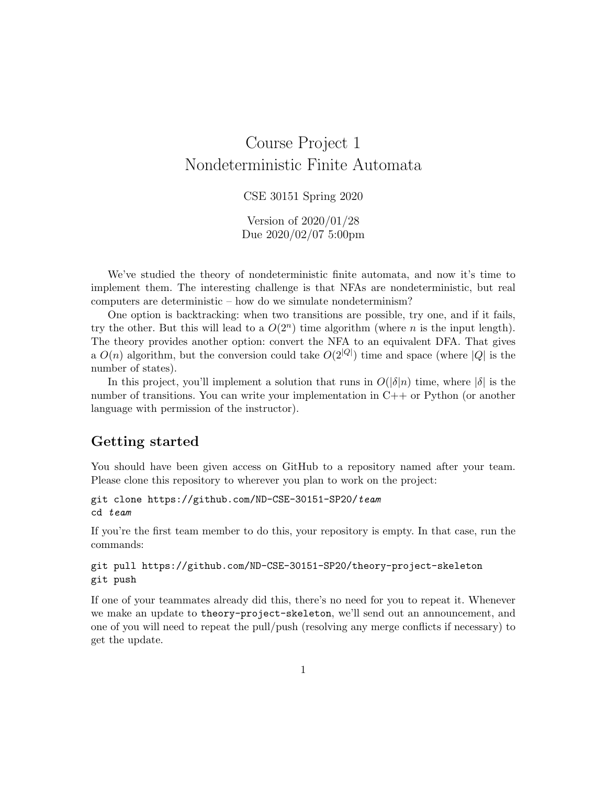# Course Project 1 Nondeterministic Finite Automata

#### CSE 30151 Spring 2020

Version of 2020/01/28 Due 2020/02/07 5:00pm

We've studied the theory of nondeterministic finite automata, and now it's time to implement them. The interesting challenge is that NFAs are nondeterministic, but real computers are deterministic – how do we simulate nondeterminism?

One option is backtracking: when two transitions are possible, try one, and if it fails, try the other. But this will lead to a  $O(2^n)$  time algorithm (where *n* is the input length). The theory provides another option: convert the NFA to an equivalent DFA. That gives a  $O(n)$  algorithm, but the conversion could take  $O(2^{|Q|})$  time and space (where |Q| is the number of states).

In this project, you'll implement a solution that runs in  $O(|\delta|n)$  time, where  $|\delta|$  is the number of transitions. You can write your implementation in C++ or Python (or another language with permission of the instructor).

#### Getting started

You should have been given access on GitHub to a repository named after your team. Please clone this repository to wherever you plan to work on the project:

```
git clone https://github.com/ND-CSE-30151-SP20/team
cd team
```
If you're the first team member to do this, your repository is empty. In that case, run the commands:

#### git pull https://github.com/ND-CSE-30151-SP20/theory-project-skeleton git push

If one of your teammates already did this, there's no need for you to repeat it. Whenever we make an update to theory-project-skeleton, we'll send out an announcement, and one of you will need to repeat the pull/push (resolving any merge conflicts if necessary) to get the update.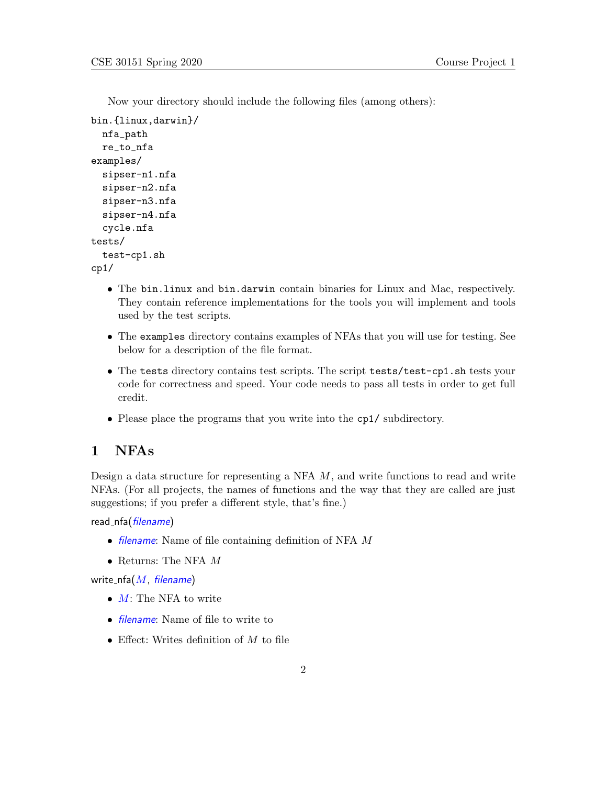Now your directory should include the following files (among others):

```
bin.{linux,darwin}/
  nfa_path
  re_to_nfa
examples/
  sipser-n1.nfa
  sipser-n2.nfa
  sipser-n3.nfa
  sipser-n4.nfa
  cycle.nfa
tests/
  test-cp1.sh
cp1/
```
- The bin.linux and bin.darwin contain binaries for Linux and Mac, respectively. They contain reference implementations for the tools you will implement and tools used by the test scripts.
- The examples directory contains examples of NFAs that you will use for testing. See below for a description of the file format.
- The tests directory contains test scripts. The script tests/test-cp1.sh tests your code for correctness and speed. Your code needs to pass all tests in order to get full credit.
- Please place the programs that you write into the cp1/ subdirectory.

#### 1 NFAs

Design a data structure for representing a NFA  $M$ , and write functions to read and write NFAs. (For all projects, the names of functions and the way that they are called are just suggestions; if you prefer a different style, that's fine.)

read\_nfa(filename)

- *filename*: Name of file containing definition of NFA M
- Returns: The NFA  $M$

write\_nfa $(M,$  filename)

- $M:$  The NFA to write
- *filename*: Name of file to write to
- Effect: Writes definition of  $M$  to file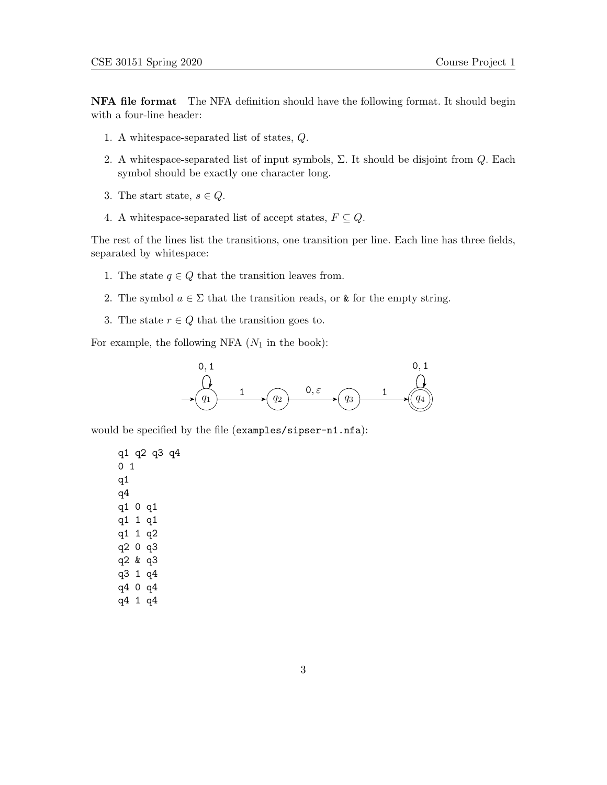NFA file format The NFA definition should have the following format. It should begin with a four-line header:

- 1. A whitespace-separated list of states, Q.
- 2. A whitespace-separated list of input symbols,  $\Sigma$ . It should be disjoint from  $Q$ . Each symbol should be exactly one character long.
- 3. The start state,  $s \in Q$ .
- 4. A whitespace-separated list of accept states,  $F \subseteq Q$ .

The rest of the lines list the transitions, one transition per line. Each line has three fields, separated by whitespace:

- 1. The state  $q \in Q$  that the transition leaves from.
- 2. The symbol  $a \in \Sigma$  that the transition reads, or & for the empty string.
- 3. The state  $r \in Q$  that the transition goes to.

For example, the following NFA  $(N_1$  in the book):



would be specified by the file (examples/sipser-n1.nfa):

q1 q2 q3 q4 0 1 q1 q4 q1 0 q1 q1 1 q1 q1 1 q2 q2 0 q3 q2 & q3 q3 1 q4 q4 0 q4 q4 1 q4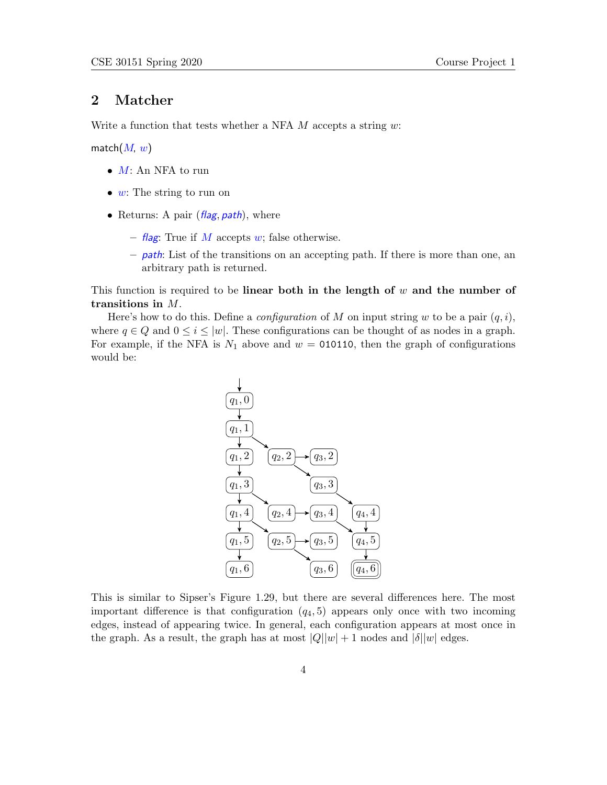#### 2 Matcher

Write a function that tests whether a NFA  $M$  accepts a string  $w$ :

match $(M, w)$ 

- $M:$  An NFA to run
- $w$ : The string to run on
- Returns: A pair  $(\text{flag}, \text{path})$ , where
	- flag: True if M accepts w; false otherwise.
	- $-$  *path*: List of the transitions on an accepting path. If there is more than one, an arbitrary path is returned.

This function is required to be **linear both in the length of**  $w$  and the number of transitions in M.

Here's how to do this. Define a *configuration* of M on input string w to be a pair  $(q, i)$ , where  $q \in Q$  and  $0 \leq i \leq |w|$ . These configurations can be thought of as nodes in a graph. For example, if the NFA is  $N_1$  above and  $w = 010110$ , then the graph of configurations would be:



This is similar to Sipser's Figure 1.29, but there are several differences here. The most important difference is that configuration  $(q_4, 5)$  appears only once with two incoming edges, instead of appearing twice. In general, each configuration appears at most once in the graph. As a result, the graph has at most  $|Q||w| + 1$  nodes and  $|\delta||w|$  edges.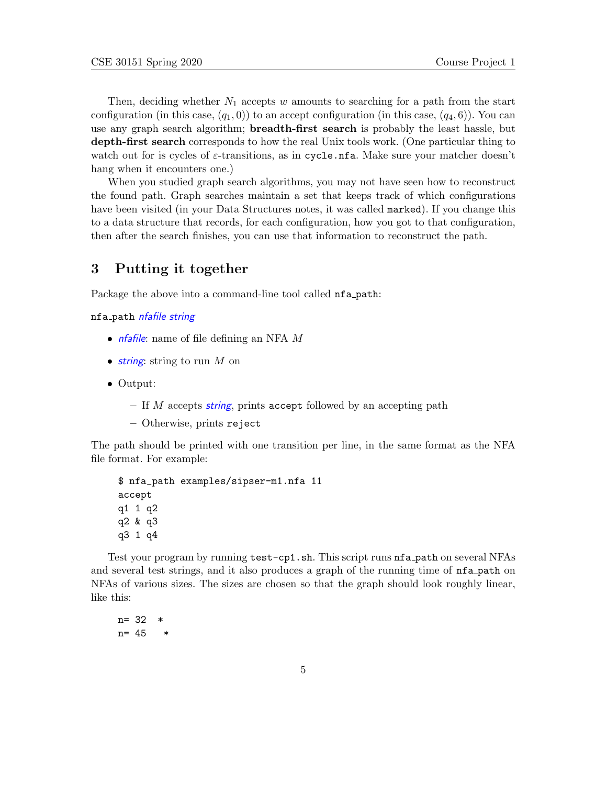Then, deciding whether  $N_1$  accepts w amounts to searching for a path from the start configuration (in this case,  $(q_1, 0)$ ) to an accept configuration (in this case,  $(q_4, 6)$ ). You can use any graph search algorithm; **breadth-first search** is probably the least hassle, but depth-first search corresponds to how the real Unix tools work. (One particular thing to watch out for is cycles of  $\varepsilon$ -transitions, as in cycle.nfa. Make sure your matcher doesn't hang when it encounters one.)

When you studied graph search algorithms, you may not have seen how to reconstruct the found path. Graph searches maintain a set that keeps track of which configurations have been visited (in your Data Structures notes, it was called marked). If you change this to a data structure that records, for each configuration, how you got to that configuration, then after the search finishes, you can use that information to reconstruct the path.

#### 3 Putting it together

Package the above into a command-line tool called **nfa** path:

nfa path nfafile string

- *nfafile*: name of file defining an NFA M
- string: string to run  $M$  on
- Output:
	- If M accepts string, prints accept followed by an accepting path
	- Otherwise, prints reject

The path should be printed with one transition per line, in the same format as the NFA file format. For example:

```
$ nfa_path examples/sipser-m1.nfa 11
accept
q1 1 q2
q2 & q3
q3 1 q4
```
Test your program by running test-cp1.sh. This script runs nfa path on several NFAs and several test strings, and it also produces a graph of the running time of nfa path on NFAs of various sizes. The sizes are chosen so that the graph should look roughly linear, like this:

 $n = 32$ n= 45 \*